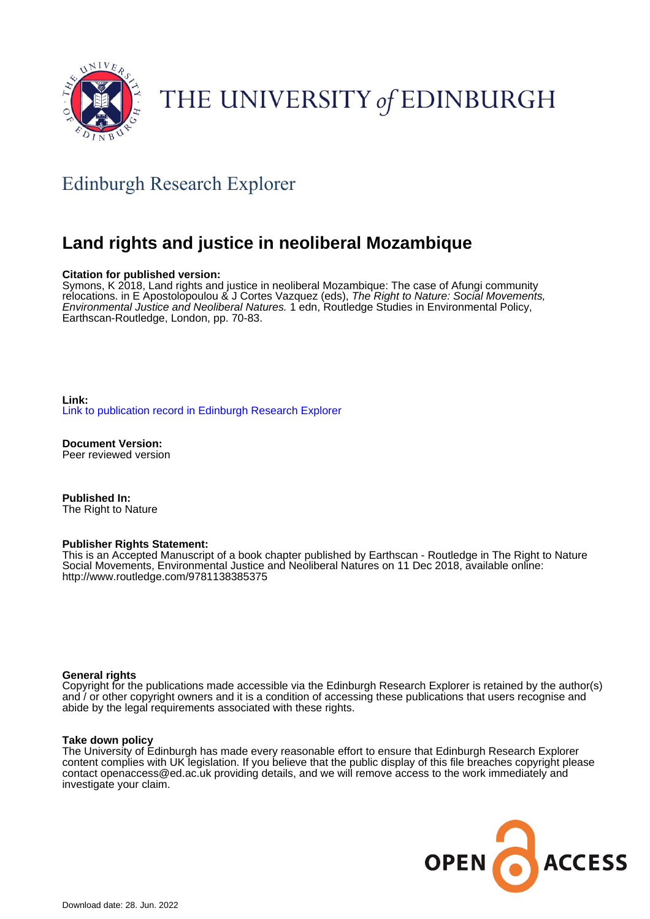

# THE UNIVERSITY of EDINBURGH

# Edinburgh Research Explorer

## **Land rights and justice in neoliberal Mozambique**

### **Citation for published version:**

Symons, K 2018, Land rights and justice in neoliberal Mozambique: The case of Afungi community relocations. in E Apostolopoulou & J Cortes Vazquez (eds), The Right to Nature: Social Movements, Environmental Justice and Neoliberal Natures. 1 edn, Routledge Studies in Environmental Policy, Earthscan-Routledge, London, pp. 70-83.

**Link:** [Link to publication record in Edinburgh Research Explorer](https://www.research.ed.ac.uk/en/publications/e16c39d9-edfb-4399-a8e1-7d82311b00eb)

**Document Version:** Peer reviewed version

**Published In:** The Right to Nature

### **Publisher Rights Statement:**

This is an Accepted Manuscript of a book chapter published by Earthscan - Routledge in The Right to Nature Social Movements, Environmental Justice and Neoliberal Natures on 11 Dec 2018, available online: http://www.routledge.com/9781138385375

### **General rights**

Copyright for the publications made accessible via the Edinburgh Research Explorer is retained by the author(s) and / or other copyright owners and it is a condition of accessing these publications that users recognise and abide by the legal requirements associated with these rights.

#### **Take down policy**

The University of Edinburgh has made every reasonable effort to ensure that Edinburgh Research Explorer content complies with UK legislation. If you believe that the public display of this file breaches copyright please contact openaccess@ed.ac.uk providing details, and we will remove access to the work immediately and investigate your claim.

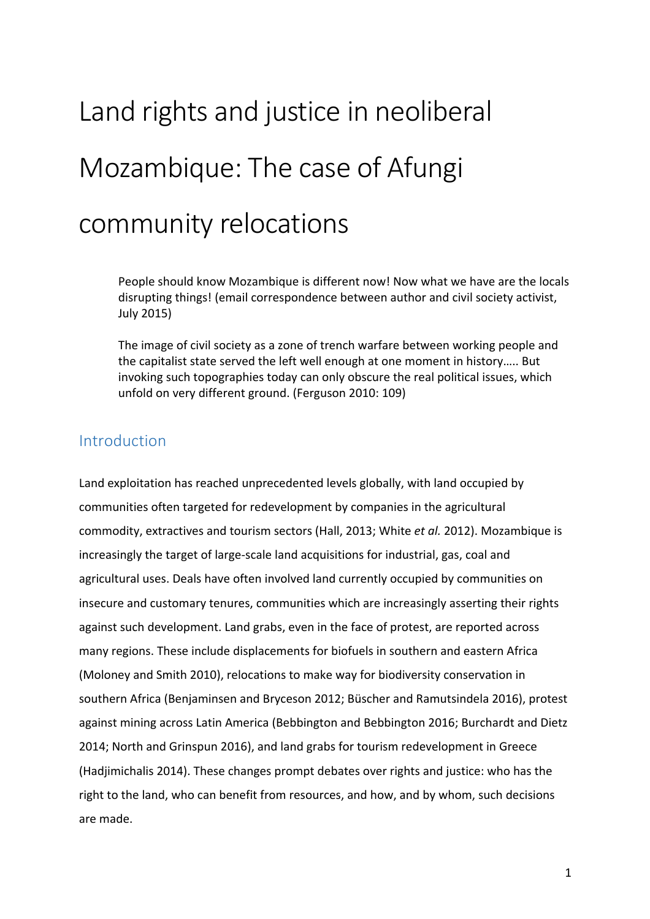# Land rights and justice in neoliberal Mozambique: The case of Afungi community relocations

People should know Mozambique is different now! Now what we have are the locals disrupting things! (email correspondence between author and civil society activist, July 2015)

The image of civil society as a zone of trench warfare between working people and the capitalist state served the left well enough at one moment in history..... But invoking such topographies today can only obscure the real political issues, which unfold on very different ground. (Ferguson 2010: 109)

## Introduction

Land exploitation has reached unprecedented levels globally, with land occupied by communities often targeted for redevelopment by companies in the agricultural commodity, extractives and tourism sectors (Hall, 2013; White *et al.* 2012). Mozambique is increasingly the target of large-scale land acquisitions for industrial, gas, coal and agricultural uses. Deals have often involved land currently occupied by communities on insecure and customary tenures, communities which are increasingly asserting their rights against such development. Land grabs, even in the face of protest, are reported across many regions. These include displacements for biofuels in southern and eastern Africa (Moloney and Smith 2010), relocations to make way for biodiversity conservation in southern Africa (Benjaminsen and Bryceson 2012; Büscher and Ramutsindela 2016), protest against mining across Latin America (Bebbington and Bebbington 2016; Burchardt and Dietz 2014; North and Grinspun 2016), and land grabs for tourism redevelopment in Greece (Hadjimichalis 2014). These changes prompt debates over rights and justice: who has the right to the land, who can benefit from resources, and how, and by whom, such decisions are made.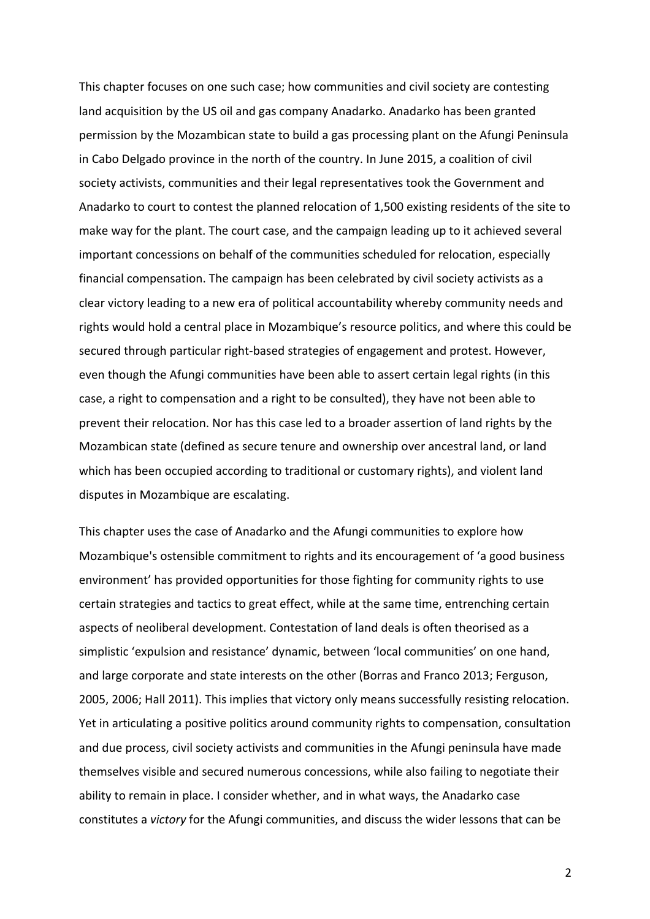This chapter focuses on one such case; how communities and civil society are contesting land acquisition by the US oil and gas company Anadarko. Anadarko has been granted permission by the Mozambican state to build a gas processing plant on the Afungi Peninsula in Cabo Delgado province in the north of the country. In June 2015, a coalition of civil society activists, communities and their legal representatives took the Government and Anadarko to court to contest the planned relocation of 1,500 existing residents of the site to make way for the plant. The court case, and the campaign leading up to it achieved several important concessions on behalf of the communities scheduled for relocation, especially financial compensation. The campaign has been celebrated by civil society activists as a clear victory leading to a new era of political accountability whereby community needs and rights would hold a central place in Mozambique's resource politics, and where this could be secured through particular right-based strategies of engagement and protest. However, even though the Afungi communities have been able to assert certain legal rights (in this case, a right to compensation and a right to be consulted), they have not been able to prevent their relocation. Nor has this case led to a broader assertion of land rights by the Mozambican state (defined as secure tenure and ownership over ancestral land, or land which has been occupied according to traditional or customary rights), and violent land disputes in Mozambique are escalating.

This chapter uses the case of Anadarko and the Afungi communities to explore how Mozambique's ostensible commitment to rights and its encouragement of 'a good business environment' has provided opportunities for those fighting for community rights to use certain strategies and tactics to great effect, while at the same time, entrenching certain aspects of neoliberal development. Contestation of land deals is often theorised as a simplistic 'expulsion and resistance' dynamic, between 'local communities' on one hand, and large corporate and state interests on the other (Borras and Franco 2013; Ferguson, 2005, 2006; Hall 2011). This implies that victory only means successfully resisting relocation. Yet in articulating a positive politics around community rights to compensation, consultation and due process, civil society activists and communities in the Afungi peninsula have made themselves visible and secured numerous concessions, while also failing to negotiate their ability to remain in place. I consider whether, and in what ways, the Anadarko case constitutes a *victory* for the Afungi communities, and discuss the wider lessons that can be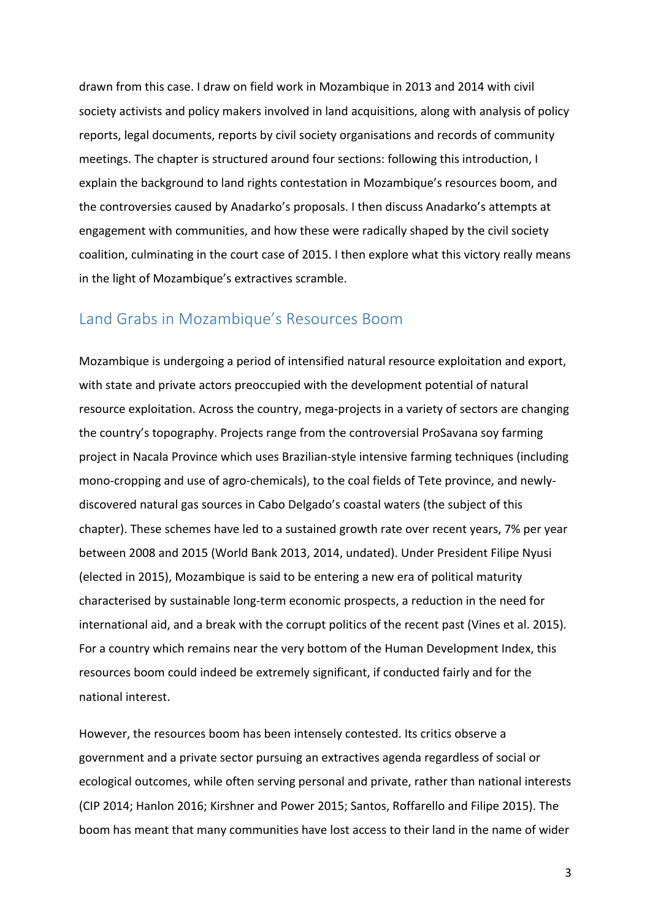drawn from this case. I draw on field work in Mozambique in 2013 and 2014 with civil society activists and policy makers involved in land acquisitions, along with analysis of policy reports, legal documents, reports by civil society organisations and records of community meetings. The chapter is structured around four sections: following this introduction, I explain the background to land rights contestation in Mozambique's resources boom, and the controversies caused by Anadarko's proposals. I then discuss Anadarko's attempts at engagement with communities, and how these were radically shaped by the civil society coalition, culminating in the court case of 2015. I then explore what this victory really means in the light of Mozambique's extractives scramble.

### Land Grabs in Mozambique's Resources Boom

Mozambique is undergoing a period of intensified natural resource exploitation and export, with state and private actors preoccupied with the development potential of natural resource exploitation. Across the country, mega-projects in a variety of sectors are changing the country's topography. Projects range from the controversial ProSavana soy farming project in Nacala Province which uses Brazilian-style intensive farming techniques (including mono-cropping and use of agro-chemicals), to the coal fields of Tete province, and newlydiscovered natural gas sources in Cabo Delgado's coastal waters (the subject of this chapter). These schemes have led to a sustained growth rate over recent years, 7% per year between 2008 and 2015 (World Bank 2013, 2014, undated). Under President Filipe Nyusi (elected in 2015), Mozambique is said to be entering a new era of political maturity characterised by sustainable long-term economic prospects, a reduction in the need for international aid, and a break with the corrupt politics of the recent past (Vines et al. 2015). For a country which remains near the very bottom of the Human Development Index, this resources boom could indeed be extremely significant, if conducted fairly and for the national interest.

However, the resources boom has been intensely contested. Its critics observe a government and a private sector pursuing an extractives agenda regardless of social or ecological outcomes, while often serving personal and private, rather than national interests (CIP 2014; Hanlon 2016; Kirshner and Power 2015; Santos, Roffarello and Filipe 2015). The boom has meant that many communities have lost access to their land in the name of wider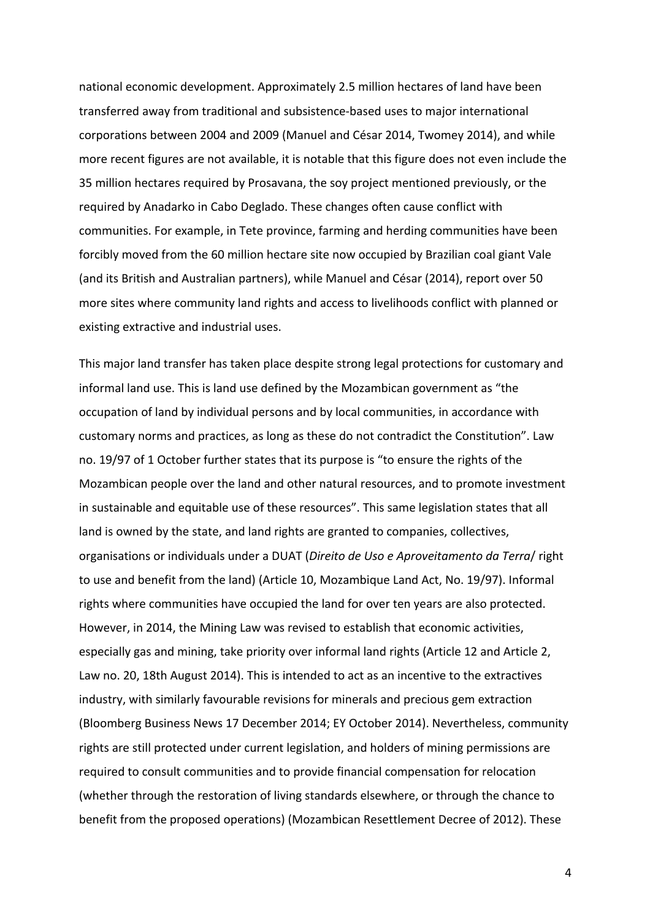national economic development. Approximately 2.5 million hectares of land have been transferred away from traditional and subsistence-based uses to major international corporations between 2004 and 2009 (Manuel and César 2014, Twomey 2014), and while more recent figures are not available, it is notable that this figure does not even include the 35 million hectares required by Prosavana, the soy project mentioned previously, or the required by Anadarko in Cabo Deglado. These changes often cause conflict with communities. For example, in Tete province, farming and herding communities have been forcibly moved from the 60 million hectare site now occupied by Brazilian coal giant Vale (and its British and Australian partners), while Manuel and César (2014), report over 50 more sites where community land rights and access to livelihoods conflict with planned or existing extractive and industrial uses.

This major land transfer has taken place despite strong legal protections for customary and informal land use. This is land use defined by the Mozambican government as "the occupation of land by individual persons and by local communities, in accordance with customary norms and practices, as long as these do not contradict the Constitution". Law no. 19/97 of 1 October further states that its purpose is "to ensure the rights of the Mozambican people over the land and other natural resources, and to promote investment in sustainable and equitable use of these resources". This same legislation states that all land is owned by the state, and land rights are granted to companies, collectives, organisations or individuals under a DUAT (Direito de Uso e Aproveitamento da Terra/ right to use and benefit from the land) (Article 10, Mozambique Land Act, No. 19/97). Informal rights where communities have occupied the land for over ten years are also protected. However, in 2014, the Mining Law was revised to establish that economic activities, especially gas and mining, take priority over informal land rights (Article 12 and Article 2, Law no. 20, 18th August 2014). This is intended to act as an incentive to the extractives industry, with similarly favourable revisions for minerals and precious gem extraction (Bloomberg Business News 17 December 2014; EY October 2014). Nevertheless, community rights are still protected under current legislation, and holders of mining permissions are required to consult communities and to provide financial compensation for relocation (whether through the restoration of living standards elsewhere, or through the chance to benefit from the proposed operations) (Mozambican Resettlement Decree of 2012). These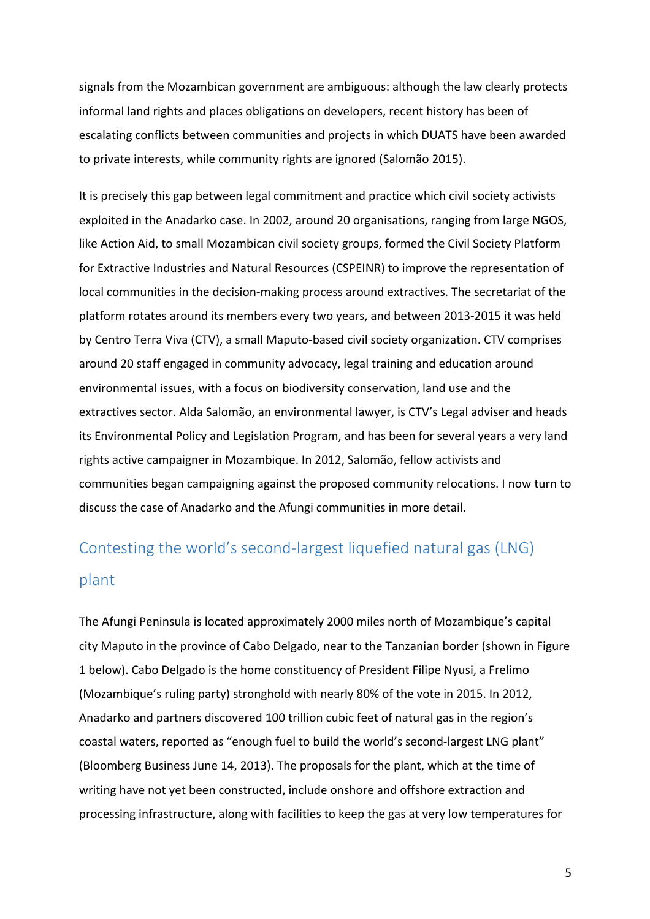signals from the Mozambican government are ambiguous: although the law clearly protects informal land rights and places obligations on developers, recent history has been of escalating conflicts between communities and projects in which DUATS have been awarded to private interests, while community rights are ignored (Salomão 2015).

It is precisely this gap between legal commitment and practice which civil society activists exploited in the Anadarko case. In 2002, around 20 organisations, ranging from large NGOS, like Action Aid, to small Mozambican civil society groups, formed the Civil Society Platform for Extractive Industries and Natural Resources (CSPEINR) to improve the representation of local communities in the decision-making process around extractives. The secretariat of the platform rotates around its members every two years, and between 2013-2015 it was held by Centro Terra Viva (CTV), a small Maputo-based civil society organization. CTV comprises around 20 staff engaged in community advocacy, legal training and education around environmental issues, with a focus on biodiversity conservation, land use and the extractives sector. Alda Salomão, an environmental lawyer, is CTV's Legal adviser and heads its Environmental Policy and Legislation Program, and has been for several years a very land rights active campaigner in Mozambique. In 2012, Salomão, fellow activists and communities began campaigning against the proposed community relocations. I now turn to discuss the case of Anadarko and the Afungi communities in more detail.

# Contesting the world's second-largest liquefied natural gas (LNG) plant

The Afungi Peninsula is located approximately 2000 miles north of Mozambique's capital city Maputo in the province of Cabo Delgado, near to the Tanzanian border (shown in Figure 1 below). Cabo Delgado is the home constituency of President Filipe Nyusi, a Frelimo (Mozambique's ruling party) stronghold with nearly 80% of the vote in 2015. In 2012, Anadarko and partners discovered 100 trillion cubic feet of natural gas in the region's coastal waters, reported as "enough fuel to build the world's second-largest LNG plant" (Bloomberg Business June 14, 2013). The proposals for the plant, which at the time of writing have not yet been constructed, include onshore and offshore extraction and processing infrastructure, along with facilities to keep the gas at very low temperatures for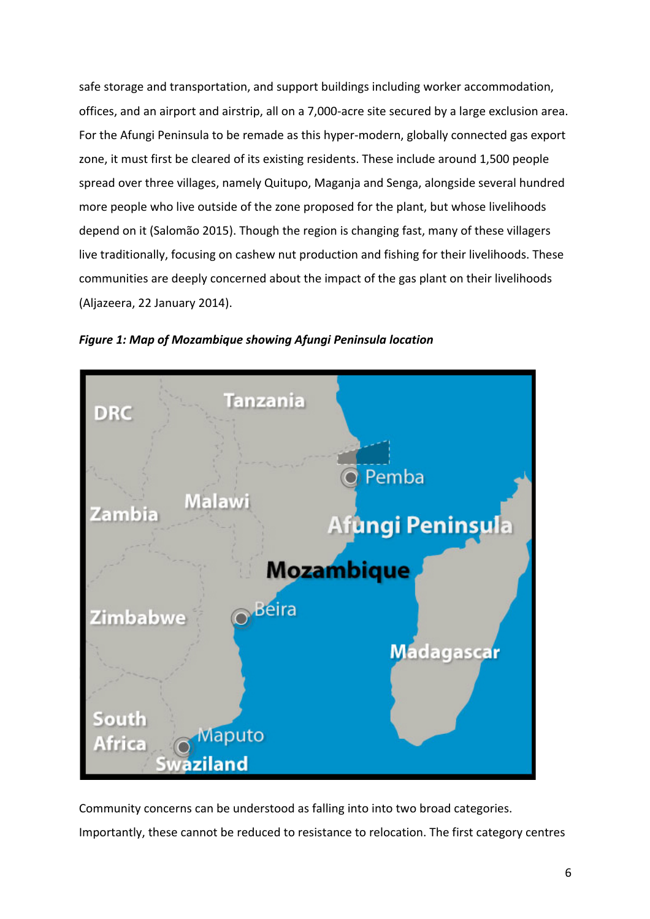safe storage and transportation, and support buildings including worker accommodation, offices, and an airport and airstrip, all on a 7,000-acre site secured by a large exclusion area. For the Afungi Peninsula to be remade as this hyper-modern, globally connected gas export zone, it must first be cleared of its existing residents. These include around 1,500 people spread over three villages, namely Quitupo, Maganja and Senga, alongside several hundred more people who live outside of the zone proposed for the plant, but whose livelihoods depend on it (Salomão 2015). Though the region is changing fast, many of these villagers live traditionally, focusing on cashew nut production and fishing for their livelihoods. These communities are deeply concerned about the impact of the gas plant on their livelihoods (Aljazeera, 22 January 2014).





Community concerns can be understood as falling into into two broad categories. Importantly, these cannot be reduced to resistance to relocation. The first category centres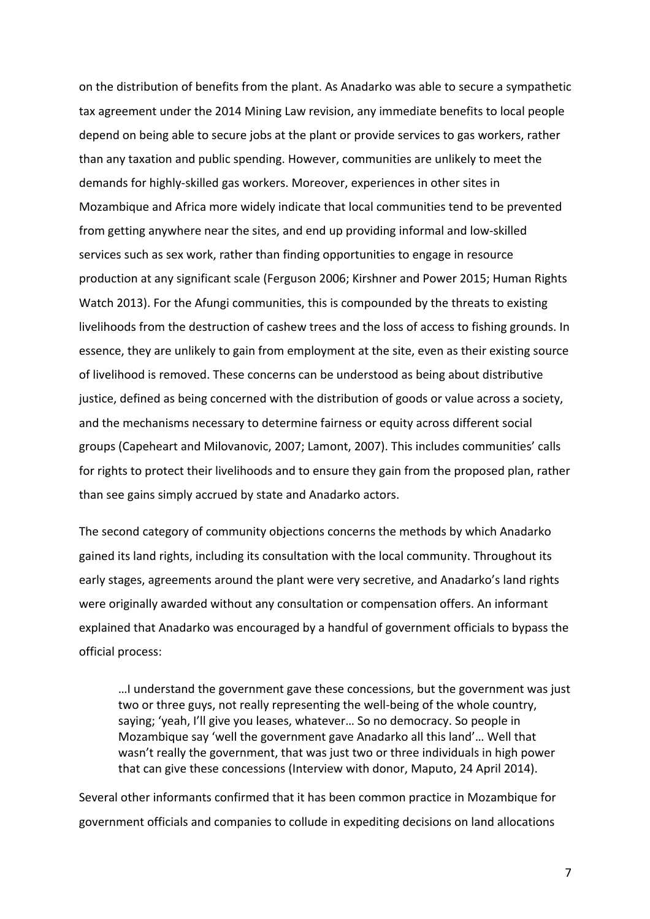on the distribution of benefits from the plant. As Anadarko was able to secure a sympathetic tax agreement under the 2014 Mining Law revision, any immediate benefits to local people depend on being able to secure jobs at the plant or provide services to gas workers, rather than any taxation and public spending. However, communities are unlikely to meet the demands for highly-skilled gas workers. Moreover, experiences in other sites in Mozambique and Africa more widely indicate that local communities tend to be prevented from getting anywhere near the sites, and end up providing informal and low-skilled services such as sex work, rather than finding opportunities to engage in resource production at any significant scale (Ferguson 2006; Kirshner and Power 2015; Human Rights Watch 2013). For the Afungi communities, this is compounded by the threats to existing livelihoods from the destruction of cashew trees and the loss of access to fishing grounds. In essence, they are unlikely to gain from employment at the site, even as their existing source of livelihood is removed. These concerns can be understood as being about distributive justice, defined as being concerned with the distribution of goods or value across a society, and the mechanisms necessary to determine fairness or equity across different social groups (Capeheart and Milovanovic, 2007; Lamont, 2007). This includes communities' calls for rights to protect their livelihoods and to ensure they gain from the proposed plan, rather than see gains simply accrued by state and Anadarko actors.

The second category of community objections concerns the methods by which Anadarko gained its land rights, including its consultation with the local community. Throughout its early stages, agreements around the plant were very secretive, and Anadarko's land rights were originally awarded without any consultation or compensation offers. An informant explained that Anadarko was encouraged by a handful of government officials to bypass the official process:

....I understand the government gave these concessions, but the government was just two or three guys, not really representing the well-being of the whole country, saying; 'yeah, I'll give you leases, whatever... So no democracy. So people in Mozambique say 'well the government gave Anadarko all this land'... Well that wasn't really the government, that was just two or three individuals in high power that can give these concessions (Interview with donor, Maputo, 24 April 2014).

Several other informants confirmed that it has been common practice in Mozambique for government officials and companies to collude in expediting decisions on land allocations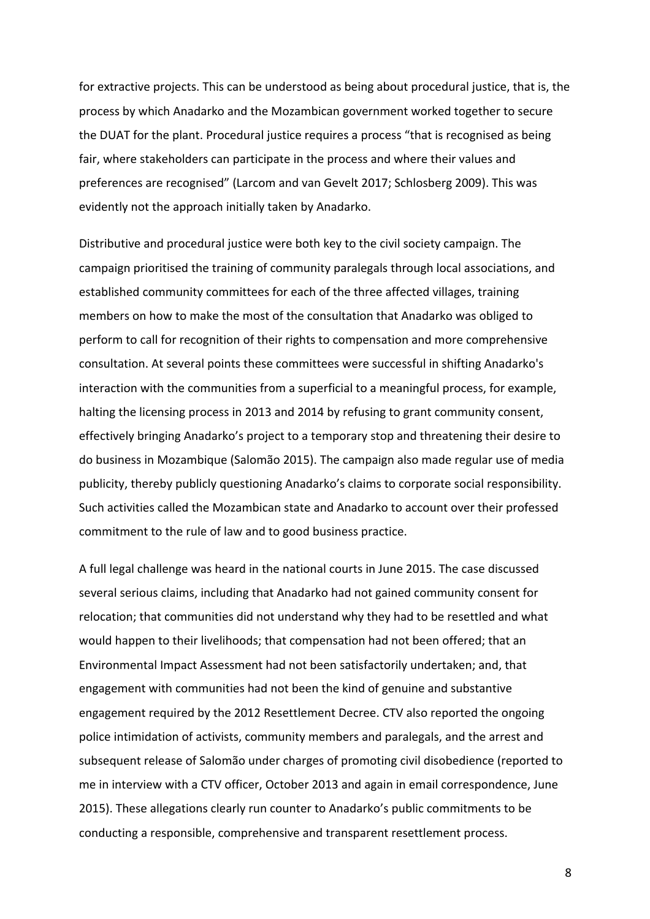for extractive projects. This can be understood as being about procedural justice, that is, the process by which Anadarko and the Mozambican government worked together to secure the DUAT for the plant. Procedural justice requires a process "that is recognised as being fair, where stakeholders can participate in the process and where their values and preferences are recognised" (Larcom and van Gevelt 2017; Schlosberg 2009). This was evidently not the approach initially taken by Anadarko.

Distributive and procedural justice were both key to the civil society campaign. The campaign prioritised the training of community paralegals through local associations, and established community committees for each of the three affected villages, training members on how to make the most of the consultation that Anadarko was obliged to perform to call for recognition of their rights to compensation and more comprehensive consultation. At several points these committees were successful in shifting Anadarko's interaction with the communities from a superficial to a meaningful process, for example, halting the licensing process in 2013 and 2014 by refusing to grant community consent, effectively bringing Anadarko's project to a temporary stop and threatening their desire to do business in Mozambique (Salomão 2015). The campaign also made regular use of media publicity, thereby publicly questioning Anadarko's claims to corporate social responsibility. Such activities called the Mozambican state and Anadarko to account over their professed commitment to the rule of law and to good business practice.

A full legal challenge was heard in the national courts in June 2015. The case discussed several serious claims, including that Anadarko had not gained community consent for relocation; that communities did not understand why they had to be resettled and what would happen to their livelihoods; that compensation had not been offered; that an Environmental Impact Assessment had not been satisfactorily undertaken; and, that engagement with communities had not been the kind of genuine and substantive engagement required by the 2012 Resettlement Decree. CTV also reported the ongoing police intimidation of activists, community members and paralegals, and the arrest and subsequent release of Salomão under charges of promoting civil disobedience (reported to me in interview with a CTV officer, October 2013 and again in email correspondence, June 2015). These allegations clearly run counter to Anadarko's public commitments to be conducting a responsible, comprehensive and transparent resettlement process.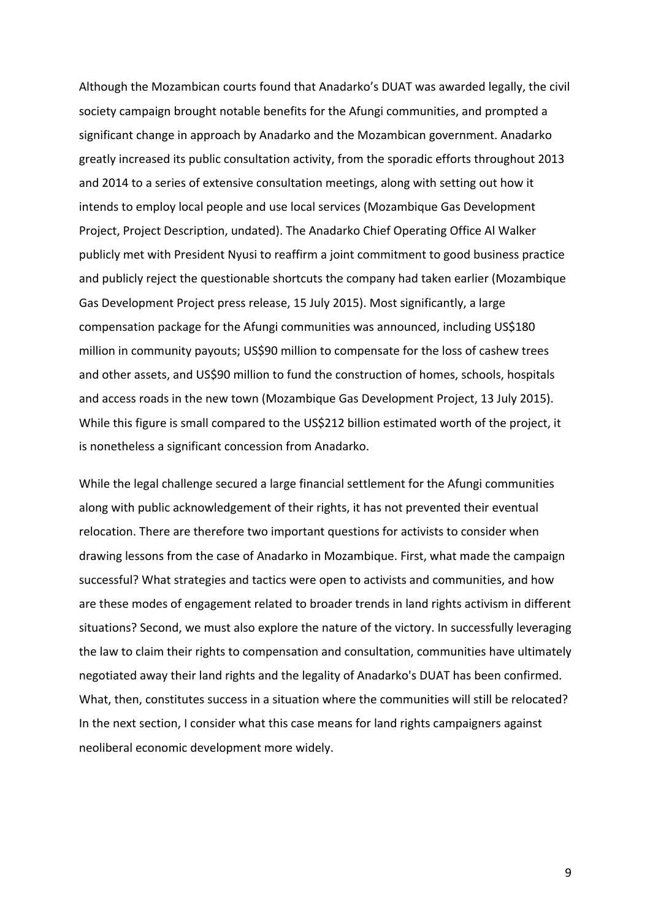Although the Mozambican courts found that Anadarko's DUAT was awarded legally, the civil society campaign brought notable benefits for the Afungi communities, and prompted a significant change in approach by Anadarko and the Mozambican government. Anadarko greatly increased its public consultation activity, from the sporadic efforts throughout 2013 and 2014 to a series of extensive consultation meetings, along with setting out how it intends to employ local people and use local services (Mozambique Gas Development Project, Project Description, undated). The Anadarko Chief Operating Office Al Walker publicly met with President Nyusi to reaffirm a joint commitment to good business practice and publicly reject the questionable shortcuts the company had taken earlier (Mozambique Gas Development Project press release, 15 July 2015). Most significantly, a large compensation package for the Afungi communities was announced, including US\$180 million in community payouts; US\$90 million to compensate for the loss of cashew trees and other assets, and US\$90 million to fund the construction of homes, schools, hospitals and access roads in the new town (Mozambique Gas Development Project, 13 July 2015). While this figure is small compared to the US\$212 billion estimated worth of the project, it is nonetheless a significant concession from Anadarko.

While the legal challenge secured a large financial settlement for the Afungi communities along with public acknowledgement of their rights, it has not prevented their eventual relocation. There are therefore two important questions for activists to consider when drawing lessons from the case of Anadarko in Mozambique. First, what made the campaign successful? What strategies and tactics were open to activists and communities, and how are these modes of engagement related to broader trends in land rights activism in different situations? Second, we must also explore the nature of the victory. In successfully leveraging the law to claim their rights to compensation and consultation, communities have ultimately negotiated away their land rights and the legality of Anadarko's DUAT has been confirmed. What, then, constitutes success in a situation where the communities will still be relocated? In the next section, I consider what this case means for land rights campaigners against neoliberal economic development more widely.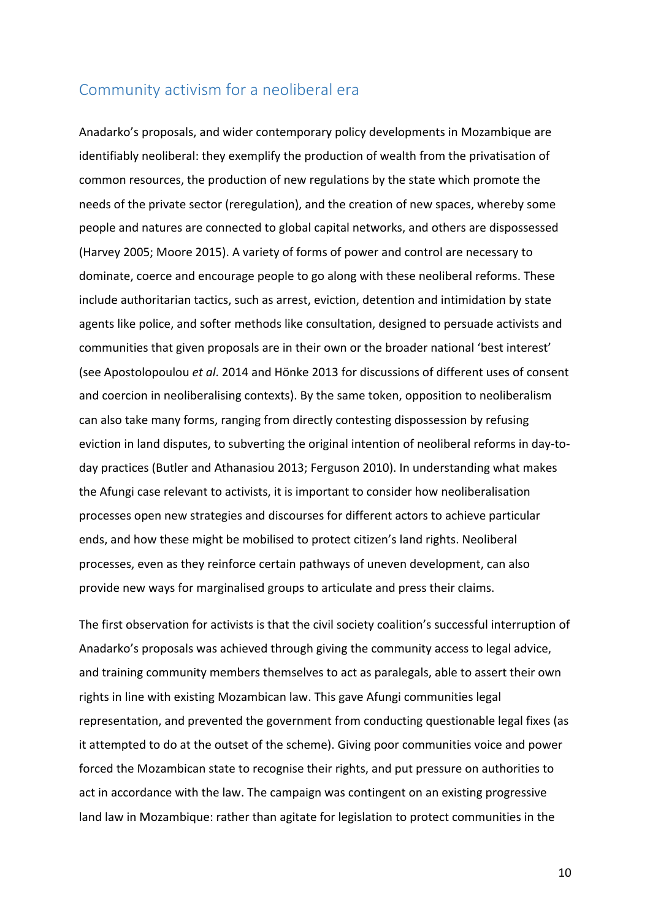### Community activism for a neoliberal era

Anadarko's proposals, and wider contemporary policy developments in Mozambique are identifiably neoliberal: they exemplify the production of wealth from the privatisation of common resources, the production of new regulations by the state which promote the needs of the private sector (reregulation), and the creation of new spaces, whereby some people and natures are connected to global capital networks, and others are dispossessed (Harvey 2005; Moore 2015). A variety of forms of power and control are necessary to dominate, coerce and encourage people to go along with these neoliberal reforms. These include authoritarian tactics, such as arrest, eviction, detention and intimidation by state agents like police, and softer methods like consultation, designed to persuade activists and communities that given proposals are in their own or the broader national 'best interest' (see Apostolopoulou et al. 2014 and Hönke 2013 for discussions of different uses of consent and coercion in neoliberalising contexts). By the same token, opposition to neoliberalism can also take many forms, ranging from directly contesting dispossession by refusing eviction in land disputes, to subverting the original intention of neoliberal reforms in day-today practices (Butler and Athanasiou 2013; Ferguson 2010). In understanding what makes the Afungi case relevant to activists, it is important to consider how neoliberalisation processes open new strategies and discourses for different actors to achieve particular ends, and how these might be mobilised to protect citizen's land rights. Neoliberal processes, even as they reinforce certain pathways of uneven development, can also provide new ways for marginalised groups to articulate and press their claims.

The first observation for activists is that the civil society coalition's successful interruption of Anadarko's proposals was achieved through giving the community access to legal advice, and training community members themselves to act as paralegals, able to assert their own rights in line with existing Mozambican law. This gave Afungi communities legal representation, and prevented the government from conducting questionable legal fixes (as it attempted to do at the outset of the scheme). Giving poor communities voice and power forced the Mozambican state to recognise their rights, and put pressure on authorities to act in accordance with the law. The campaign was contingent on an existing progressive land law in Mozambique: rather than agitate for legislation to protect communities in the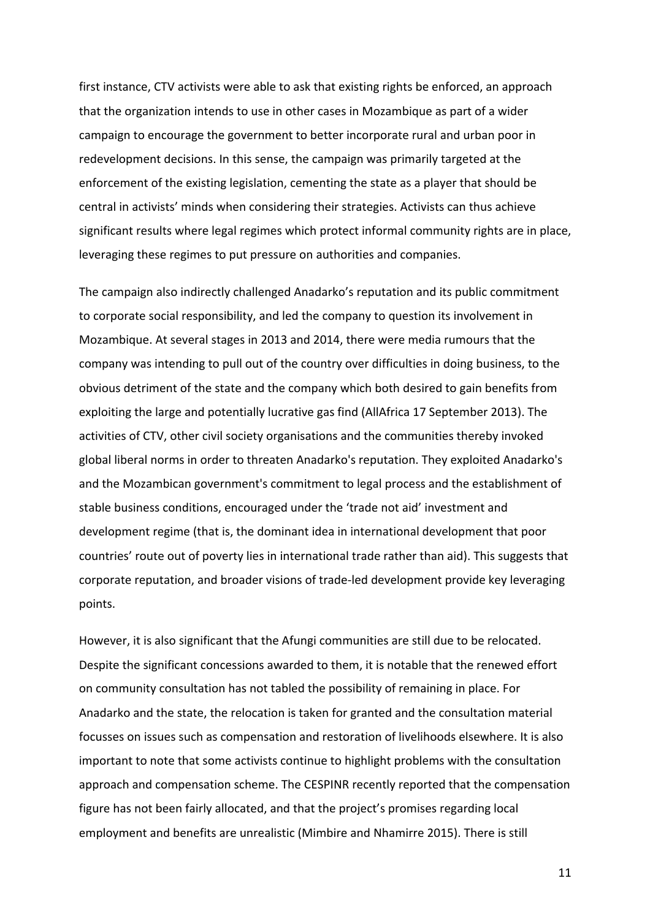first instance, CTV activists were able to ask that existing rights be enforced, an approach that the organization intends to use in other cases in Mozambique as part of a wider campaign to encourage the government to better incorporate rural and urban poor in redevelopment decisions. In this sense, the campaign was primarily targeted at the enforcement of the existing legislation, cementing the state as a player that should be central in activists' minds when considering their strategies. Activists can thus achieve significant results where legal regimes which protect informal community rights are in place, leveraging these regimes to put pressure on authorities and companies.

The campaign also indirectly challenged Anadarko's reputation and its public commitment to corporate social responsibility, and led the company to question its involvement in Mozambique. At several stages in 2013 and 2014, there were media rumours that the company was intending to pull out of the country over difficulties in doing business, to the obvious detriment of the state and the company which both desired to gain benefits from exploiting the large and potentially lucrative gas find (AllAfrica 17 September 2013). The activities of CTV, other civil society organisations and the communities thereby invoked global liberal norms in order to threaten Anadarko's reputation. They exploited Anadarko's and the Mozambican government's commitment to legal process and the establishment of stable business conditions, encouraged under the 'trade not aid' investment and development regime (that is, the dominant idea in international development that poor countries' route out of poverty lies in international trade rather than aid). This suggests that corporate reputation, and broader visions of trade-led development provide key leveraging points. 

However, it is also significant that the Afungi communities are still due to be relocated. Despite the significant concessions awarded to them, it is notable that the renewed effort on community consultation has not tabled the possibility of remaining in place. For Anadarko and the state, the relocation is taken for granted and the consultation material focusses on issues such as compensation and restoration of livelihoods elsewhere. It is also important to note that some activists continue to highlight problems with the consultation approach and compensation scheme. The CESPINR recently reported that the compensation figure has not been fairly allocated, and that the project's promises regarding local employment and benefits are unrealistic (Mimbire and Nhamirre 2015). There is still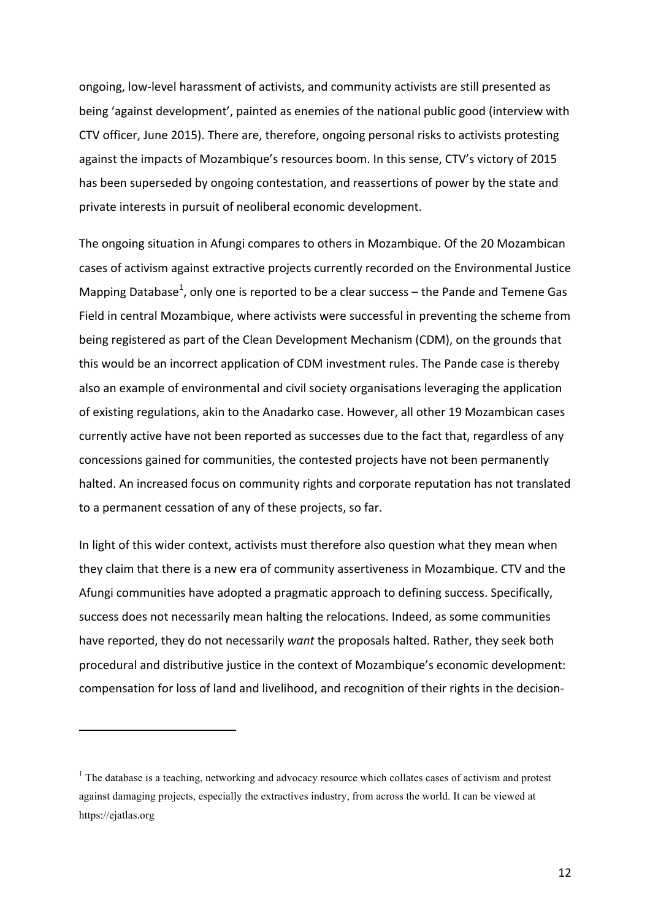ongoing, low-level harassment of activists, and community activists are still presented as being 'against development', painted as enemies of the national public good (interview with CTV officer, June 2015). There are, therefore, ongoing personal risks to activists protesting against the impacts of Mozambique's resources boom. In this sense, CTV's victory of 2015 has been superseded by ongoing contestation, and reassertions of power by the state and private interests in pursuit of neoliberal economic development.

The ongoing situation in Afungi compares to others in Mozambique. Of the 20 Mozambican cases of activism against extractive projects currently recorded on the Environmental Justice Mapping Database<sup>1</sup>, only one is reported to be a clear success – the Pande and Temene Gas Field in central Mozambique, where activists were successful in preventing the scheme from being registered as part of the Clean Development Mechanism (CDM), on the grounds that this would be an incorrect application of CDM investment rules. The Pande case is thereby also an example of environmental and civil society organisations leveraging the application of existing regulations, akin to the Anadarko case. However, all other 19 Mozambican cases currently active have not been reported as successes due to the fact that, regardless of any concessions gained for communities, the contested projects have not been permanently halted. An increased focus on community rights and corporate reputation has not translated to a permanent cessation of any of these projects, so far.

In light of this wider context, activists must therefore also question what they mean when they claim that there is a new era of community assertiveness in Mozambique. CTV and the Afungi communities have adopted a pragmatic approach to defining success. Specifically, success does not necessarily mean halting the relocations. Indeed, as some communities have reported, they do not necessarily *want* the proposals halted. Rather, they seek both procedural and distributive justice in the context of Mozambique's economic development: compensation for loss of land and livelihood, and recognition of their rights in the decision-

<sup>&</sup>lt;sup>1</sup> The database is a teaching, networking and advocacy resource which collates cases of activism and protest against damaging projects, especially the extractives industry, from across the world. It can be viewed at https://ejatlas.org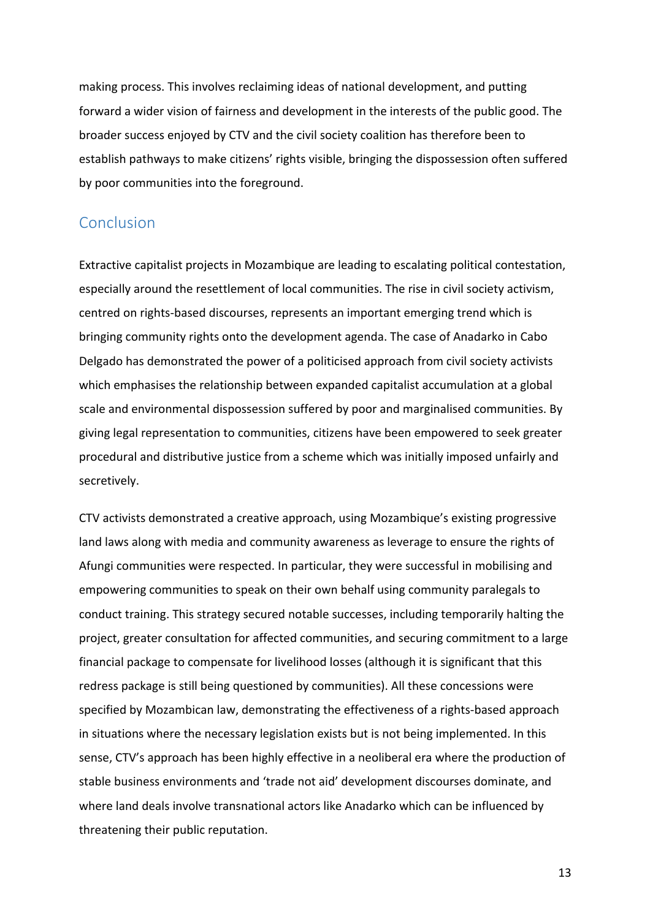making process. This involves reclaiming ideas of national development, and putting forward a wider vision of fairness and development in the interests of the public good. The broader success enjoyed by CTV and the civil society coalition has therefore been to establish pathways to make citizens' rights visible, bringing the dispossession often suffered by poor communities into the foreground.

### Conclusion

Extractive capitalist projects in Mozambique are leading to escalating political contestation, especially around the resettlement of local communities. The rise in civil society activism, centred on rights-based discourses, represents an important emerging trend which is bringing community rights onto the development agenda. The case of Anadarko in Cabo Delgado has demonstrated the power of a politicised approach from civil society activists which emphasises the relationship between expanded capitalist accumulation at a global scale and environmental dispossession suffered by poor and marginalised communities. By giving legal representation to communities, citizens have been empowered to seek greater procedural and distributive justice from a scheme which was initially imposed unfairly and secretively. 

CTV activists demonstrated a creative approach, using Mozambique's existing progressive land laws along with media and community awareness as leverage to ensure the rights of Afungi communities were respected. In particular, they were successful in mobilising and empowering communities to speak on their own behalf using community paralegals to conduct training. This strategy secured notable successes, including temporarily halting the project, greater consultation for affected communities, and securing commitment to a large financial package to compensate for livelihood losses (although it is significant that this redress package is still being questioned by communities). All these concessions were specified by Mozambican law, demonstrating the effectiveness of a rights-based approach in situations where the necessary legislation exists but is not being implemented. In this sense, CTV's approach has been highly effective in a neoliberal era where the production of stable business environments and 'trade not aid' development discourses dominate, and where land deals involve transnational actors like Anadarko which can be influenced by threatening their public reputation.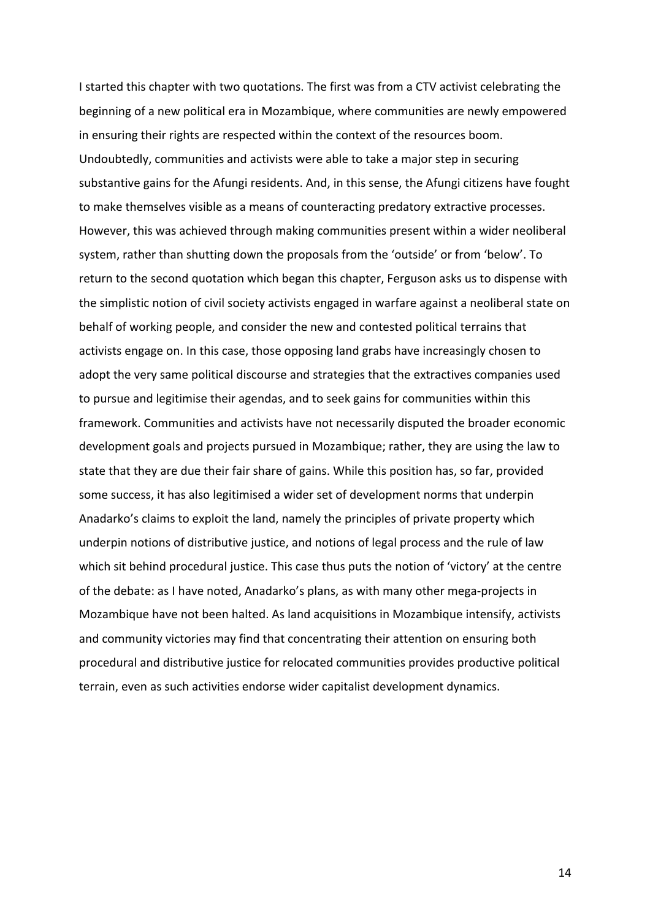I started this chapter with two quotations. The first was from a CTV activist celebrating the beginning of a new political era in Mozambique, where communities are newly empowered in ensuring their rights are respected within the context of the resources boom. Undoubtedly, communities and activists were able to take a major step in securing substantive gains for the Afungi residents. And, in this sense, the Afungi citizens have fought to make themselves visible as a means of counteracting predatory extractive processes. However, this was achieved through making communities present within a wider neoliberal system, rather than shutting down the proposals from the 'outside' or from 'below'. To return to the second quotation which began this chapter, Ferguson asks us to dispense with the simplistic notion of civil society activists engaged in warfare against a neoliberal state on behalf of working people, and consider the new and contested political terrains that activists engage on. In this case, those opposing land grabs have increasingly chosen to adopt the very same political discourse and strategies that the extractives companies used to pursue and legitimise their agendas, and to seek gains for communities within this framework. Communities and activists have not necessarily disputed the broader economic development goals and projects pursued in Mozambique; rather, they are using the law to state that they are due their fair share of gains. While this position has, so far, provided some success, it has also legitimised a wider set of development norms that underpin Anadarko's claims to exploit the land, namely the principles of private property which underpin notions of distributive justice, and notions of legal process and the rule of law which sit behind procedural justice. This case thus puts the notion of 'victory' at the centre of the debate: as I have noted, Anadarko's plans, as with many other mega-projects in Mozambique have not been halted. As land acquisitions in Mozambique intensify, activists and community victories may find that concentrating their attention on ensuring both procedural and distributive justice for relocated communities provides productive political terrain, even as such activities endorse wider capitalist development dynamics.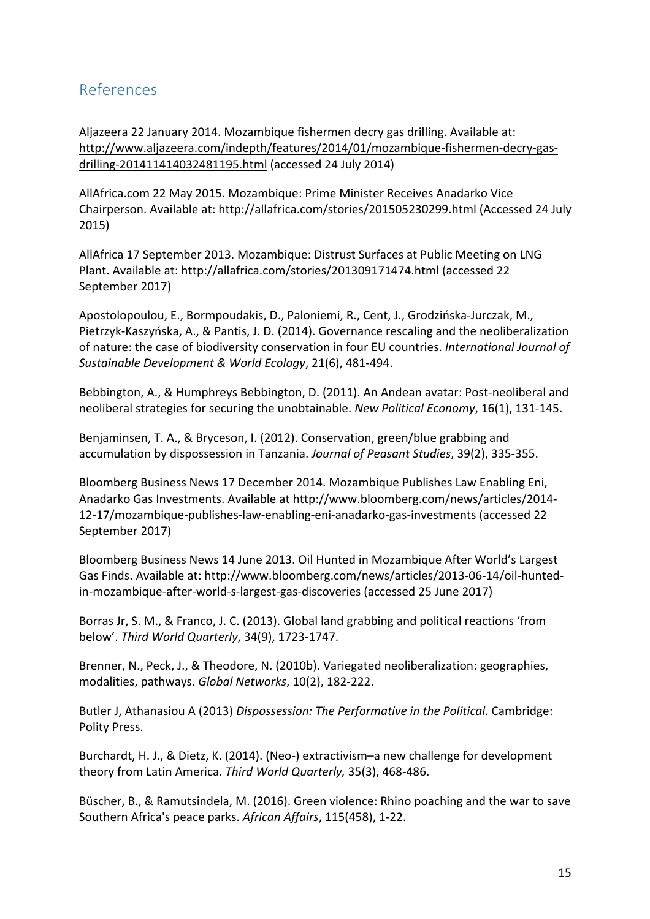## References

Aljazeera 22 January 2014. Mozambique fishermen decry gas drilling. Available at: http://www.aljazeera.com/indepth/features/2014/01/mozambique-fishermen-decry-gasdrilling-201411414032481195.html (accessed 24 July 2014)

AllAfrica.com 22 May 2015. Mozambique: Prime Minister Receives Anadarko Vice Chairperson. Available at: http://allafrica.com/stories/201505230299.html (Accessed 24 July 2015)

AllAfrica 17 September 2013. Mozambique: Distrust Surfaces at Public Meeting on LNG Plant. Available at: http://allafrica.com/stories/201309171474.html (accessed 22 September 2017)

Apostolopoulou, E., Bormpoudakis, D., Paloniemi, R., Cent, J., Grodzińska-Jurczak, M., Pietrzyk-Kaszyńska, A., & Pantis, J. D. (2014). Governance rescaling and the neoliberalization of nature: the case of biodiversity conservation in four EU countries. *International Journal of Sustainable Development & World Ecology*, 21(6), 481-494.

Bebbington, A., & Humphreys Bebbington, D. (2011). An Andean avatar: Post-neoliberal and neoliberal strategies for securing the unobtainable. *New Political Economy*, 16(1), 131-145.

Benjaminsen, T. A., & Bryceson, I. (2012). Conservation, green/blue grabbing and accumulation by dispossession in Tanzania. *Journal of Peasant Studies*, 39(2), 335-355.

Bloomberg Business News 17 December 2014. Mozambique Publishes Law Enabling Eni, Anadarko Gas Investments. Available at http://www.bloomberg.com/news/articles/2014-12-17/mozambique-publishes-law-enabling-eni-anadarko-gas-investments (accessed 22 September 2017)

Bloomberg Business News 14 June 2013. Oil Hunted in Mozambique After World's Largest Gas Finds. Available at: http://www.bloomberg.com/news/articles/2013-06-14/oil-huntedin-mozambique-after-world-s-largest-gas-discoveries (accessed 25 June 2017)

Borras Jr, S. M., & Franco, J. C. (2013). Global land grabbing and political reactions 'from below'. *Third World Quarterly*, 34(9), 1723-1747.

Brenner, N., Peck, J., & Theodore, N. (2010b). Variegated neoliberalization: geographies, modalities, pathways. *Global Networks*, 10(2), 182-222.

Butler J, Athanasiou A (2013) *Dispossession: The Performative in the Political*. Cambridge: Polity Press.

Burchardt, H. J., & Dietz, K. (2014). (Neo-) extractivism–a new challenge for development theory from Latin America. Third World Quarterly, 35(3), 468-486.

Büscher, B., & Ramutsindela, M. (2016). Green violence: Rhino poaching and the war to save Southern Africa's peace parks. African Affairs, 115(458), 1-22.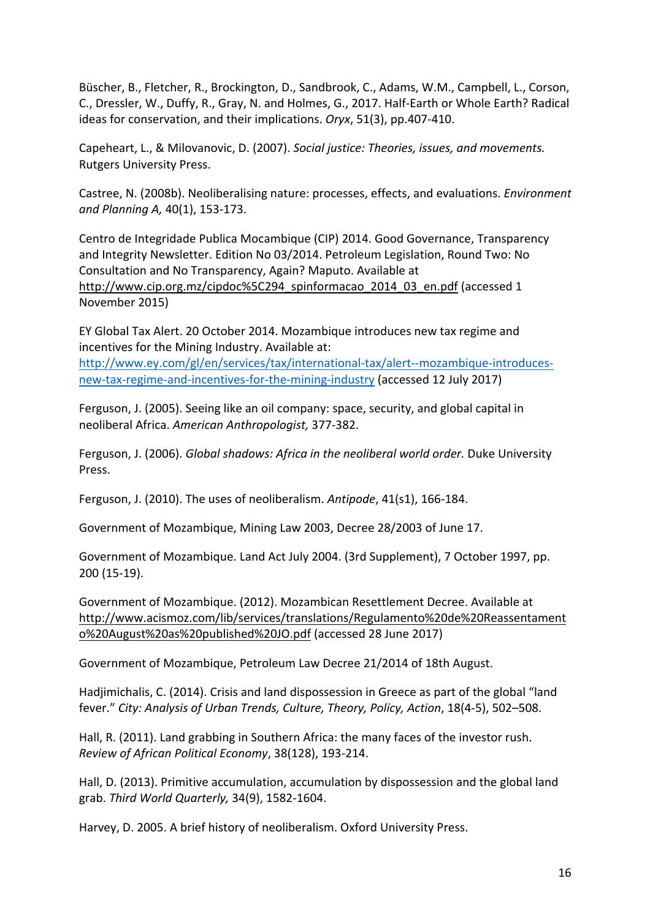Büscher, B., Fletcher, R., Brockington, D., Sandbrook, C., Adams, W.M., Campbell, L., Corson, C., Dressler, W., Duffy, R., Gray, N. and Holmes, G., 2017. Half-Earth or Whole Earth? Radical ideas for conservation, and their implications. *Oryx*, 51(3), pp.407-410.

Capeheart, L., & Milovanovic, D. (2007). *Social justice: Theories, issues, and movements.* Rutgers University Press.

Castree, N. (2008b). Neoliberalising nature: processes, effects, and evaluations. *Environment and Planning A,* 40(1), 153-173.

Centro de Integridade Publica Mocambique (CIP) 2014. Good Governance, Transparency and Integrity Newsletter. Edition No 03/2014. Petroleum Legislation, Round Two: No Consultation and No Transparency, Again? Maputo. Available at http://www.cip.org.mz/cipdoc%5C294\_spinformacao\_2014\_03\_en.pdf (accessed 1 November 2015)

EY Global Tax Alert. 20 October 2014. Mozambique introduces new tax regime and incentives for the Mining Industry. Available at:

http://www.ey.com/gl/en/services/tax/international-tax/alert--mozambique-introducesnew-tax-regime-and-incentives-for-the-mining-industry (accessed 12 July 2017)

Ferguson, J. (2005). Seeing like an oil company: space, security, and global capital in neoliberal Africa. *American Anthropologist,* 377-382.

Ferguson, J. (2006). *Global shadows: Africa in the neoliberal world order.* Duke University Press.

Ferguson, J. (2010). The uses of neoliberalism. Antipode, 41(s1), 166-184.

Government of Mozambique, Mining Law 2003, Decree 28/2003 of June 17.

Government of Mozambique. Land Act July 2004. (3rd Supplement), 7 October 1997, pp. 200 (15-19).

Government of Mozambique. (2012). Mozambican Resettlement Decree. Available at http://www.acismoz.com/lib/services/translations/Regulamento%20de%20Reassentament o%20August%20as%20published%20JO.pdf (accessed 28 June 2017)

Government of Mozambique, Petroleum Law Decree 21/2014 of 18th August.

Hadjimichalis, C. (2014). Crisis and land dispossession in Greece as part of the global "land fever." City: Analysis of Urban Trends, Culture, Theory, Policy, Action, 18(4-5), 502-508.

Hall, R. (2011). Land grabbing in Southern Africa: the many faces of the investor rush. *Review of African Political Economy*, 38(128), 193-214.

Hall, D. (2013). Primitive accumulation, accumulation by dispossession and the global land grab. *Third World Quarterly,* 34(9), 1582-1604.

Harvey, D. 2005. A brief history of neoliberalism. Oxford University Press.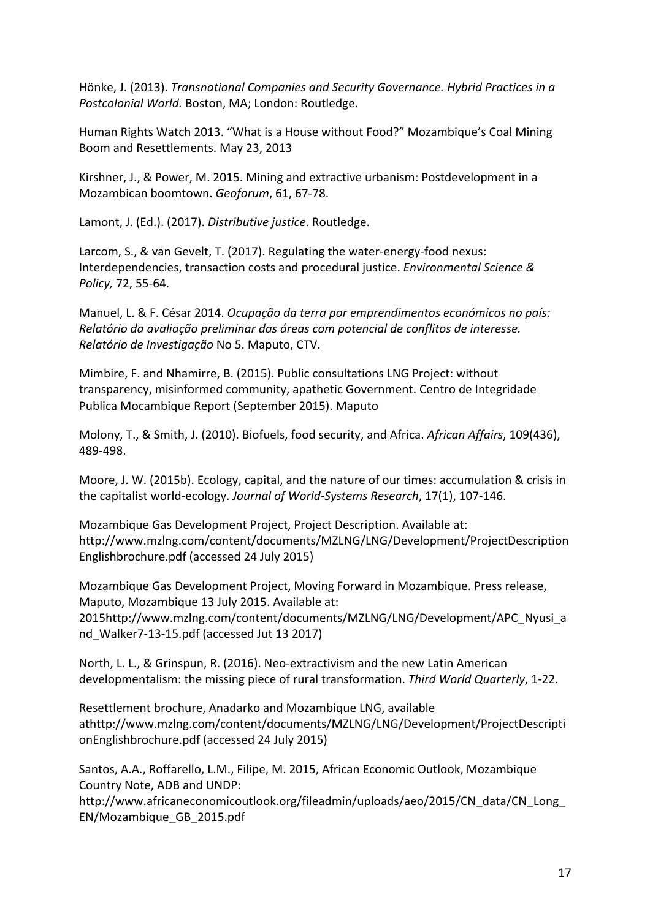Hönke, J. (2013). *Transnational Companies and Security Governance. Hybrid Practices in a Postcolonial World.* Boston, MA; London: Routledge.

Human Rights Watch 2013. "What is a House without Food?" Mozambique's Coal Mining Boom and Resettlements. May 23, 2013

Kirshner, J., & Power, M. 2015. Mining and extractive urbanism: Postdevelopment in a Mozambican boomtown. Geoforum, 61, 67-78.

Lamont, J. (Ed.). (2017). *Distributive justice*. Routledge.

Larcom, S., & van Gevelt, T. (2017). Regulating the water-energy-food nexus: Interdependencies, transaction costs and procedural justice. *Environmental Science & Policy,* 72, 55-64.

Manuel, L. & F. César 2014. *Ocupação da terra por emprendimentos económicos no país: Relatório da avaliação preliminar das áreas com potencial de conflitos de interesse. Relatório de Investigação* No 5. Maputo, CTV.

Mimbire, F. and Nhamirre, B. (2015). Public consultations LNG Project: without transparency, misinformed community, apathetic Government. Centro de Integridade Publica Mocambique Report (September 2015). Maputo

Molony, T., & Smith, J. (2010). Biofuels, food security, and Africa. African Affairs, 109(436), 489-498.

Moore, J. W. (2015b). Ecology, capital, and the nature of our times: accumulation & crisis in the capitalist world-ecology. *Journal of World-Systems Research*, 17(1), 107-146.

Mozambique Gas Development Project, Project Description. Available at: http://www.mzlng.com/content/documents/MZLNG/LNG/Development/ProjectDescription Englishbrochure.pdf (accessed 24 July 2015)

Mozambique Gas Development Project, Moving Forward in Mozambique. Press release, Maputo, Mozambique 13 July 2015. Available at: 2015http://www.mzlng.com/content/documents/MZLNG/LNG/Development/APC\_Nyusi\_a nd Walker7-13-15.pdf (accessed Jut 13 2017)

North, L. L., & Grinspun, R. (2016). Neo-extractivism and the new Latin American developmentalism: the missing piece of rural transformation. *Third World Quarterly*, 1-22.

Resettlement brochure, Anadarko and Mozambique LNG, available athttp://www.mzlng.com/content/documents/MZLNG/LNG/Development/ProjectDescripti onEnglishbrochure.pdf (accessed 24 July 2015)

Santos, A.A., Roffarello, L.M., Filipe, M. 2015, African Economic Outlook, Mozambique Country Note, ADB and UNDP:

http://www.africaneconomicoutlook.org/fileadmin/uploads/aeo/2015/CN\_data/CN\_Long\_ EN/Mozambique\_GB\_2015.pdf